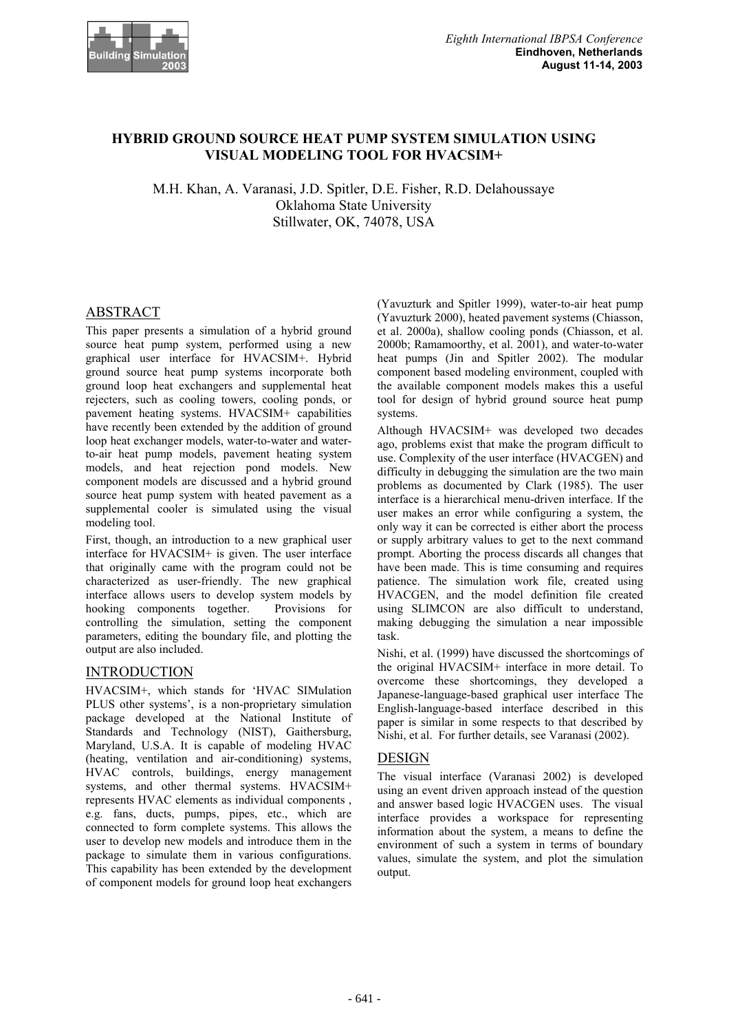

# **HYBRID GROUND SOURCE HEAT PUMP SYSTEM SIMULATION USING VISUAL MODELING TOOL FOR HVACSIM+**

M.H. Khan, A. Varanasi, J.D. Spitler, D.E. Fisher, R.D. Delahoussaye Oklahoma State University Stillwater, OK, 74078, USA

# ABSTRACT

This paper presents a simulation of a hybrid ground source heat pump system, performed using a new graphical user interface for HVACSIM+. Hybrid ground source heat pump systems incorporate both ground loop heat exchangers and supplemental heat rejecters, such as cooling towers, cooling ponds, or pavement heating systems. HVACSIM+ capabilities have recently been extended by the addition of ground loop heat exchanger models, water-to-water and waterto-air heat pump models, pavement heating system models, and heat rejection pond models. New component models are discussed and a hybrid ground source heat pump system with heated pavement as a supplemental cooler is simulated using the visual modeling tool.

First, though, an introduction to a new graphical user interface for HVACSIM+ is given. The user interface that originally came with the program could not be characterized as user-friendly. The new graphical interface allows users to develop system models by hooking components together. Provisions for controlling the simulation, setting the component parameters, editing the boundary file, and plotting the output are also included.

# INTRODUCTION

HVACSIM+, which stands for 'HVAC SIMulation PLUS other systems', is a non-proprietary simulation package developed at the National Institute of Standards and Technology (NIST), Gaithersburg, Maryland, U.S.A. It is capable of modeling HVAC (heating, ventilation and air-conditioning) systems, HVAC controls, buildings, energy management systems, and other thermal systems. HVACSIM+ represents HVAC elements as individual components , e.g. fans, ducts, pumps, pipes, etc., which are connected to form complete systems. This allows the user to develop new models and introduce them in the package to simulate them in various configurations. This capability has been extended by the development of component models for ground loop heat exchangers

(Yavuzturk and Spitler 1999), water-to-air heat pump (Yavuzturk 2000), heated pavement systems (Chiasson, et al. 2000a), shallow cooling ponds (Chiasson, et al. 2000b; Ramamoorthy, et al. 2001), and water-to-water heat pumps (Jin and Spitler 2002). The modular component based modeling environment, coupled with the available component models makes this a useful tool for design of hybrid ground source heat pump systems.

Although HVACSIM+ was developed two decades ago, problems exist that make the program difficult to use. Complexity of the user interface (HVACGEN) and difficulty in debugging the simulation are the two main problems as documented by Clark (1985). The user interface is a hierarchical menu-driven interface. If the user makes an error while configuring a system, the only way it can be corrected is either abort the process or supply arbitrary values to get to the next command prompt. Aborting the process discards all changes that have been made. This is time consuming and requires patience. The simulation work file, created using HVACGEN, and the model definition file created using SLIMCON are also difficult to understand, making debugging the simulation a near impossible task.

Nishi, et al. (1999) have discussed the shortcomings of the original HVACSIM+ interface in more detail. To overcome these shortcomings, they developed a Japanese-language-based graphical user interface The English-language-based interface described in this paper is similar in some respects to that described by Nishi, et al. For further details, see Varanasi (2002).

# DESIGN

The visual interface (Varanasi 2002) is developed using an event driven approach instead of the question and answer based logic HVACGEN uses. The visual interface provides a workspace for representing information about the system, a means to define the environment of such a system in terms of boundary values, simulate the system, and plot the simulation output.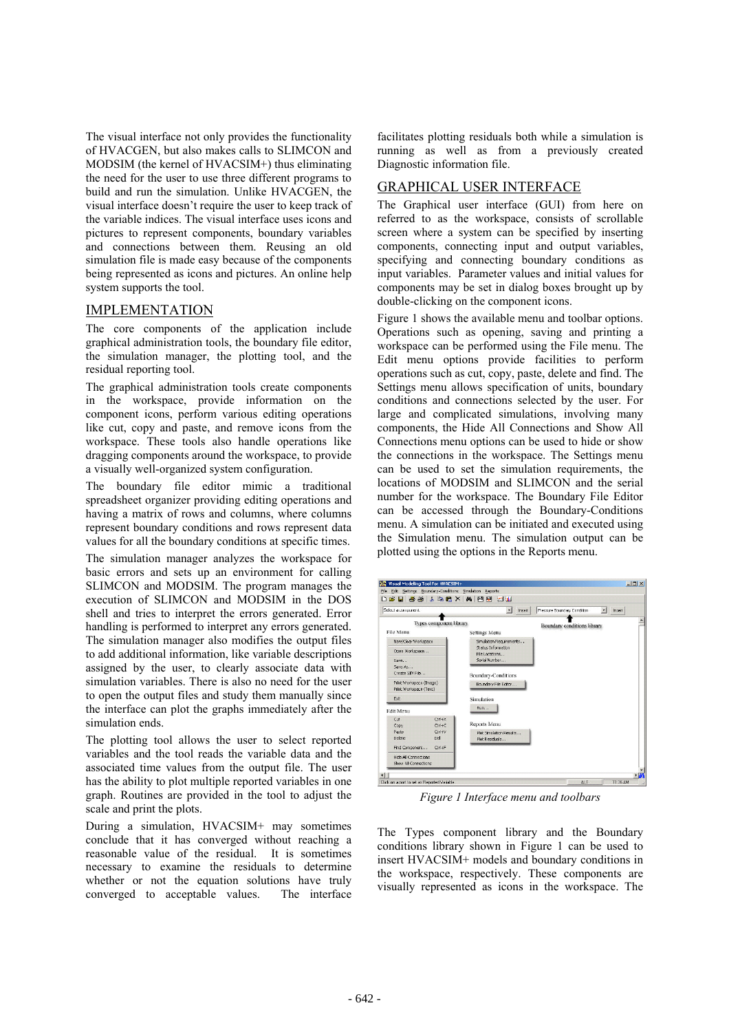The visual interface not only provides the functionality of HVACGEN, but also makes calls to SLIMCON and MODSIM (the kernel of HVACSIM+) thus eliminating the need for the user to use three different programs to build and run the simulation. Unlike HVACGEN, the visual interface doesn't require the user to keep track of the variable indices. The visual interface uses icons and pictures to represent components, boundary variables and connections between them. Reusing an old simulation file is made easy because of the components being represented as icons and pictures. An online help system supports the tool.

## IMPLEMENTATION

The core components of the application include graphical administration tools, the boundary file editor, the simulation manager, the plotting tool, and the residual reporting tool.

The graphical administration tools create components in the workspace, provide information on the component icons, perform various editing operations like cut, copy and paste, and remove icons from the workspace. These tools also handle operations like dragging components around the workspace, to provide a visually well-organized system configuration.

The boundary file editor mimic a traditional spreadsheet organizer providing editing operations and having a matrix of rows and columns, where columns represent boundary conditions and rows represent data values for all the boundary conditions at specific times.

The simulation manager analyzes the workspace for basic errors and sets up an environment for calling SLIMCON and MODSIM. The program manages the execution of SLIMCON and MODSIM in the DOS shell and tries to interpret the errors generated. Error handling is performed to interpret any errors generated. The simulation manager also modifies the output files to add additional information, like variable descriptions assigned by the user, to clearly associate data with simulation variables. There is also no need for the user to open the output files and study them manually since the interface can plot the graphs immediately after the simulation ends.

The plotting tool allows the user to select reported variables and the tool reads the variable data and the associated time values from the output file. The user has the ability to plot multiple reported variables in one graph. Routines are provided in the tool to adjust the scale and print the plots.

During a simulation, HVACSIM+ may sometimes conclude that it has converged without reaching a reasonable value of the residual. It is sometimes necessary to examine the residuals to determine whether or not the equation solutions have truly converged to acceptable values. The interface

facilitates plotting residuals both while a simulation is running as well as from a previously created Diagnostic information file.

## GRAPHICAL USER INTERFACE

The Graphical user interface (GUI) from here on referred to as the workspace, consists of scrollable screen where a system can be specified by inserting components, connecting input and output variables, specifying and connecting boundary conditions as input variables. Parameter values and initial values for components may be set in dialog boxes brought up by double-clicking on the component icons.

Figure 1 shows the available menu and toolbar options. Operations such as opening, saving and printing a workspace can be performed using the File menu. The Edit menu options provide facilities to perform operations such as cut, copy, paste, delete and find. The Settings menu allows specification of units, boundary conditions and connections selected by the user. For large and complicated simulations, involving many components, the Hide All Connections and Show All Connections menu options can be used to hide or show the connections in the workspace. The Settings menu can be used to set the simulation requirements, the locations of MODSIM and SLIMCON and the serial number for the workspace. The Boundary File Editor can be accessed through the Boundary-Conditions menu. A simulation can be initiated and executed using the Simulation menu. The simulation output can be plotted using the options in the Reports menu.



*Figure 1 Interface menu and toolbars*

The Types component library and the Boundary conditions library shown in Figure 1 can be used to insert HVACSIM+ models and boundary conditions in the workspace, respectively. These components are visually represented as icons in the workspace. The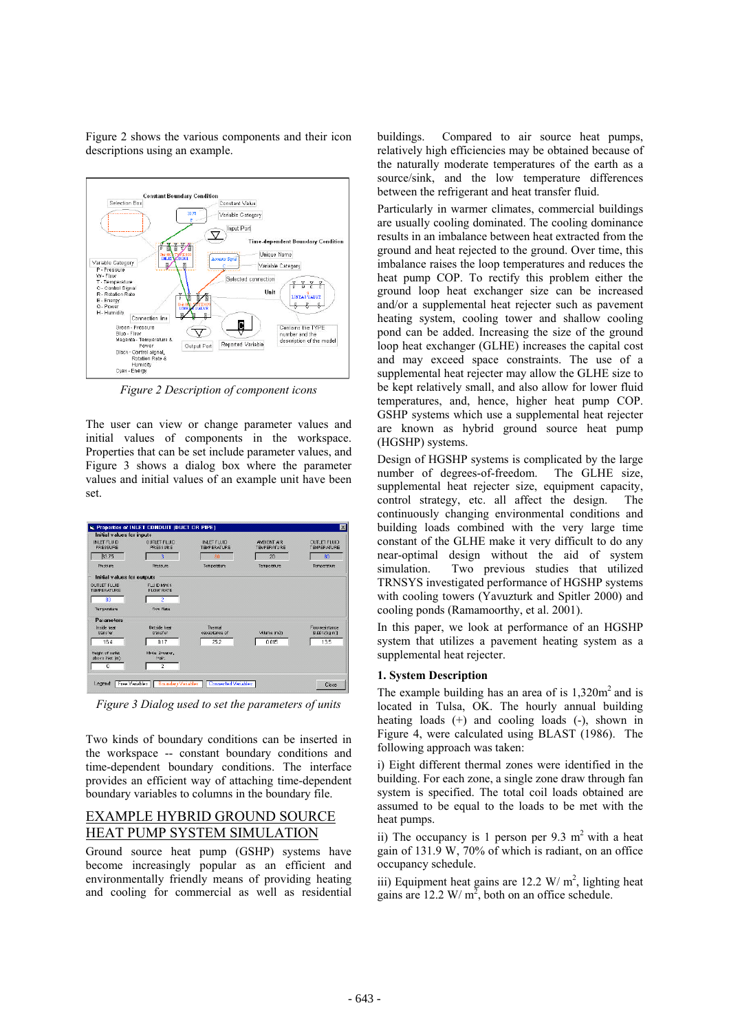

Figure 2 shows the various components and their icon descriptions using an example.

*Figure 2 Description of component icons*

The user can view or change parameter values and initial values of components in the workspace. Properties that can be set include parameter values, and Figure 3 shows a dialog box where the parameter values and initial values of an example unit have been set.

| Initial values for inputs                 |                                        |                                          |                                          |                                           |
|-------------------------------------------|----------------------------------------|------------------------------------------|------------------------------------------|-------------------------------------------|
| <b>INLET FLUID</b><br>PRESSURE            | <b>QUILET FLUID</b><br>PRESSURE        | <b>INLET FILID</b><br><b>TR/PERATURE</b> | <b>AMBIENT AIR</b><br><b>TEMPERATURE</b> | <b>OUTLET FLUID</b><br><b>TRIPERATURE</b> |
| 33.75                                     | ٩                                      | 80                                       | 20                                       | 80                                        |
| Pressure                                  | <b>Pressure</b>                        | Temperature                              | Temperature                              | Temperature                               |
| Initial values for outputs                |                                        |                                          |                                          |                                           |
| <b>OUTLET FLUID</b><br><b>TH/PERATURE</b> | <b>FULLID MASS</b><br><b>FLOW RATE</b> |                                          |                                          |                                           |
| 80                                        | Ž                                      |                                          |                                          |                                           |
| <b>Temperature</b>                        | Flou Rate                              |                                          |                                          |                                           |
| Parameters                                |                                        |                                          |                                          |                                           |
| Inside heat.<br>trancter                  | Outside heet<br>trancfor               | Thermal<br>egogeitance of                | Volume (m3)                              | Flou resistance<br>[0.001/(kg m)]         |
| 164                                       | 017                                    | 25.2                                     | 0.015                                    | 135                                       |
| Height of outlet<br>abome inter (m)       | Mode: 2=ugter.<br>$1 = 2k$             |                                          |                                          |                                           |
| O                                         | $\overline{2}$                         |                                          |                                          |                                           |

*Figure 3 Dialog used to set the parameters of units*

Two kinds of boundary conditions can be inserted in the workspace -- constant boundary conditions and time-dependent boundary conditions. The interface provides an efficient way of attaching time-dependent boundary variables to columns in the boundary file.

# EXAMPLE HYBRID GROUND SOURCE HEAT PUMP SYSTEM SIMULATION

Ground source heat pump (GSHP) systems have become increasingly popular as an efficient and environmentally friendly means of providing heating and cooling for commercial as well as residential

buildings. Compared to air source heat pumps, relatively high efficiencies may be obtained because of the naturally moderate temperatures of the earth as a source/sink, and the low temperature differences between the refrigerant and heat transfer fluid.

Particularly in warmer climates, commercial buildings are usually cooling dominated. The cooling dominance results in an imbalance between heat extracted from the ground and heat rejected to the ground. Over time, this imbalance raises the loop temperatures and reduces the heat pump COP. To rectify this problem either the ground loop heat exchanger size can be increased and/or a supplemental heat rejecter such as pavement heating system, cooling tower and shallow cooling pond can be added. Increasing the size of the ground loop heat exchanger (GLHE) increases the capital cost and may exceed space constraints. The use of a supplemental heat rejecter may allow the GLHE size to be kept relatively small, and also allow for lower fluid temperatures, and, hence, higher heat pump COP. GSHP systems which use a supplemental heat rejecter are known as hybrid ground source heat pump (HGSHP) systems.

Design of HGSHP systems is complicated by the large number of degrees-of-freedom. The GLHE size, supplemental heat rejecter size, equipment capacity, control strategy, etc. all affect the design. The continuously changing environmental conditions and building loads combined with the very large time constant of the GLHE make it very difficult to do any near-optimal design without the aid of system simulation. Two previous studies that utilized TRNSYS investigated performance of HGSHP systems with cooling towers (Yavuzturk and Spitler 2000) and cooling ponds (Ramamoorthy, et al. 2001).

In this paper, we look at performance of an HGSHP system that utilizes a pavement heating system as a supplemental heat rejecter.

## **1. System Description**

The example building has an area of is  $1,320m^2$  and is located in Tulsa, OK. The hourly annual building heating loads (+) and cooling loads (-), shown in Figure 4, were calculated using BLAST (1986). The following approach was taken:

i) Eight different thermal zones were identified in the building. For each zone, a single zone draw through fan system is specified. The total coil loads obtained are assumed to be equal to the loads to be met with the heat pumps.

ii) The occupancy is 1 person per  $9.3 \text{ m}^2$  with a heat gain of 131.9 W, 70% of which is radiant, on an office occupancy schedule.

iii) Equipment heat gains are  $12.2 \text{ W/m}^2$ , lighting heat gains are 12.2 W/m<sup>2</sup>, both on an office schedule.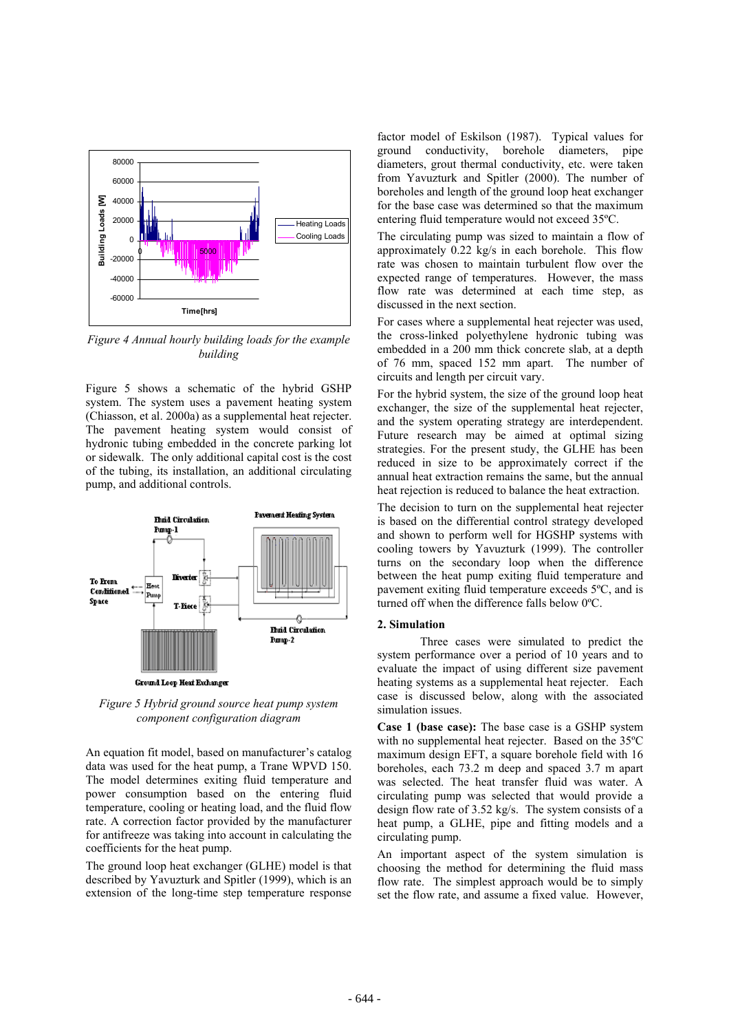

*Figure 4 Annual hourly building loads for the example building*

Figure 5 shows a schematic of the hybrid GSHP system. The system uses a pavement heating system (Chiasson, et al. 2000a) as a supplemental heat rejecter. The pavement heating system would consist of hydronic tubing embedded in the concrete parking lot or sidewalk. The only additional capital cost is the cost of the tubing, its installation, an additional circulating pump, and additional controls.



*Figure 5 Hybrid ground source heat pump system component configuration diagram*

An equation fit model, based on manufacturer's catalog data was used for the heat pump, a Trane WPVD 150. The model determines exiting fluid temperature and power consumption based on the entering fluid temperature, cooling or heating load, and the fluid flow rate. A correction factor provided by the manufacturer for antifreeze was taking into account in calculating the coefficients for the heat pump.

The ground loop heat exchanger (GLHE) model is that described by Yavuzturk and Spitler (1999), which is an extension of the long-time step temperature response

factor model of Eskilson (1987). Typical values for ground conductivity, borehole diameters, pipe diameters, grout thermal conductivity, etc. were taken from Yavuzturk and Spitler (2000). The number of boreholes and length of the ground loop heat exchanger for the base case was determined so that the maximum entering fluid temperature would not exceed 35ºC.

The circulating pump was sized to maintain a flow of approximately 0.22 kg/s in each borehole. This flow rate was chosen to maintain turbulent flow over the expected range of temperatures. However, the mass flow rate was determined at each time step, as discussed in the next section.

For cases where a supplemental heat rejecter was used, the cross-linked polyethylene hydronic tubing was embedded in a 200 mm thick concrete slab, at a depth of 76 mm, spaced 152 mm apart. The number of circuits and length per circuit vary.

For the hybrid system, the size of the ground loop heat exchanger, the size of the supplemental heat rejecter, and the system operating strategy are interdependent. Future research may be aimed at optimal sizing strategies. For the present study, the GLHE has been reduced in size to be approximately correct if the annual heat extraction remains the same, but the annual heat rejection is reduced to balance the heat extraction.

The decision to turn on the supplemental heat rejecter is based on the differential control strategy developed and shown to perform well for HGSHP systems with cooling towers by Yavuzturk (1999). The controller turns on the secondary loop when the difference between the heat pump exiting fluid temperature and pavement exiting fluid temperature exceeds 5ºC, and is turned off when the difference falls below 0ºC.

#### **2. Simulation**

Three cases were simulated to predict the system performance over a period of 10 years and to evaluate the impact of using different size pavement heating systems as a supplemental heat rejecter. Each case is discussed below, along with the associated simulation issues.

**Case 1 (base case):** The base case is a GSHP system with no supplemental heat rejecter. Based on the 35ºC maximum design EFT, a square borehole field with 16 boreholes, each 73.2 m deep and spaced 3.7 m apart was selected. The heat transfer fluid was water. A circulating pump was selected that would provide a design flow rate of 3.52 kg/s. The system consists of a heat pump, a GLHE, pipe and fitting models and a circulating pump.

An important aspect of the system simulation is choosing the method for determining the fluid mass flow rate. The simplest approach would be to simply set the flow rate, and assume a fixed value. However,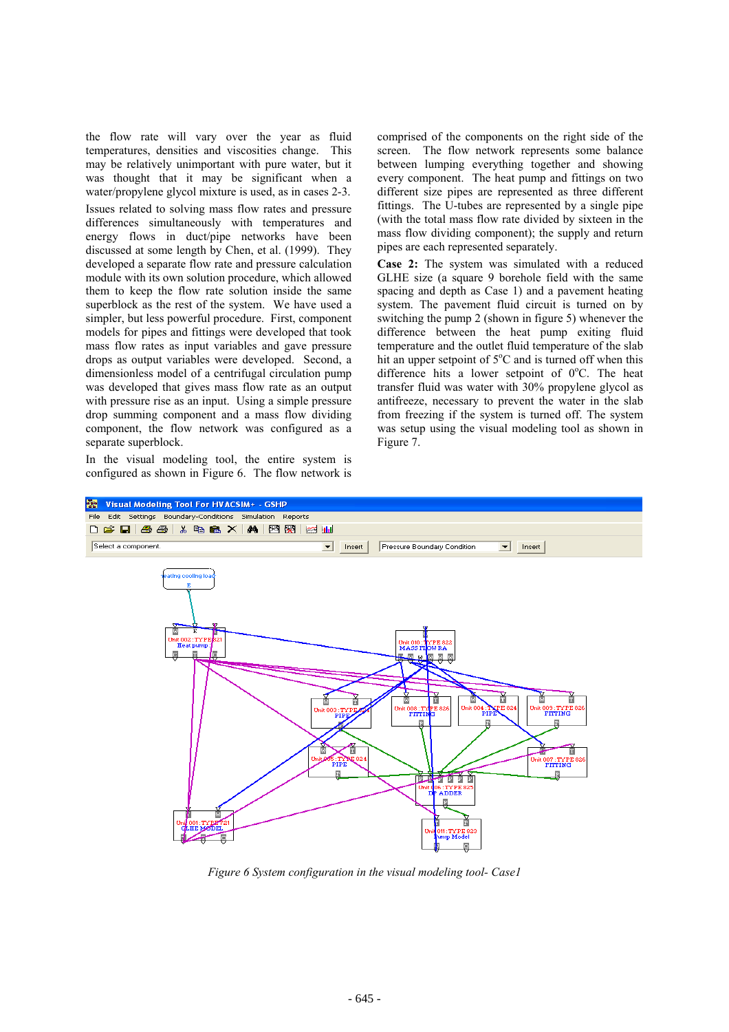the flow rate will vary over the year as fluid temperatures, densities and viscosities change. This may be relatively unimportant with pure water, but it was thought that it may be significant when a water/propylene glycol mixture is used, as in cases 2-3.

Issues related to solving mass flow rates and pressure differences simultaneously with temperatures and energy flows in duct/pipe networks have been discussed at some length by Chen, et al. (1999). They developed a separate flow rate and pressure calculation module with its own solution procedure, which allowed them to keep the flow rate solution inside the same superblock as the rest of the system. We have used a simpler, but less powerful procedure. First, component models for pipes and fittings were developed that took mass flow rates as input variables and gave pressure drops as output variables were developed. Second, a dimensionless model of a centrifugal circulation pump was developed that gives mass flow rate as an output with pressure rise as an input. Using a simple pressure drop summing component and a mass flow dividing component, the flow network was configured as a separate superblock.

In the visual modeling tool, the entire system is configured as shown in Figure 6. The flow network is comprised of the components on the right side of the screen. The flow network represents some balance between lumping everything together and showing every component. The heat pump and fittings on two different size pipes are represented as three different fittings. The U-tubes are represented by a single pipe (with the total mass flow rate divided by sixteen in the mass flow dividing component); the supply and return pipes are each represented separately.

**Case 2:** The system was simulated with a reduced GLHE size (a square 9 borehole field with the same spacing and depth as Case 1) and a pavement heating system. The pavement fluid circuit is turned on by switching the pump 2 (shown in figure 5) whenever the difference between the heat pump exiting fluid temperature and the outlet fluid temperature of the slab hit an upper setpoint of  $5^{\circ}$ C and is turned off when this difference hits a lower setpoint of  $0^{\circ}$ C. The heat transfer fluid was water with 30% propylene glycol as antifreeze, necessary to prevent the water in the slab from freezing if the system is turned off. The system was setup using the visual modeling tool as shown in Figure 7.



*Figure 6 System configuration in the visual modeling tool- Case1*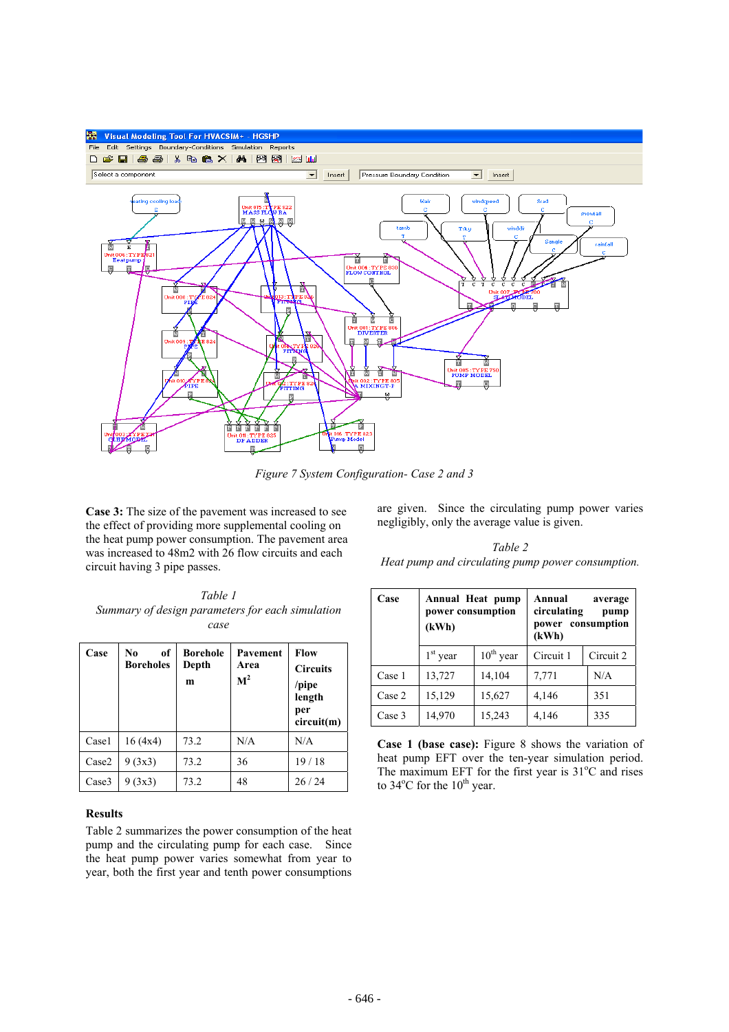

*Figure 7 System Configuration- Case 2 and 3* 

**Case 3:** The size of the pavement was increased to see the effect of providing more supplemental cooling on the heat pump power consumption. The pavement area was increased to 48m2 with 26 flow circuits and each circuit having 3 pipe passes.

are given. Since the circulating pump power varies negligibly, only the average value is given.

*Table 1 Summary of design parameters for each simulation case*

| Case  | of<br>No<br><b>Boreholes</b> | <b>Borehole</b><br>Depth<br>m | Pavement<br>Area<br>$\mathbf{M}^2$ | <b>Flow</b><br><b>Circuits</b><br>$\gamma$ pipe<br>length<br>per<br>circuit(m) |
|-------|------------------------------|-------------------------------|------------------------------------|--------------------------------------------------------------------------------|
| Casel | 16(4x4)                      | 73.2                          | N/A                                | N/A                                                                            |
| Case2 | 9(3x3)                       | 73.2                          | 36                                 | 19/18                                                                          |
| Case3 | 9(3x3)                       | 73.2                          | 48                                 | 26/24                                                                          |

## **Results**

Table 2 summarizes the power consumption of the heat pump and the circulating pump for each case. Since the heat pump power varies somewhat from year to year, both the first year and tenth power consumptions

*Table 2 Heat pump and circulating pump power consumption.*

| Case   | Annual Heat pump<br>power consumption<br>(kWh) |                | Annual<br>average<br>circulating<br>pump<br>power consumption<br>(kWh) |           |
|--------|------------------------------------------------|----------------|------------------------------------------------------------------------|-----------|
|        | $1st$ year                                     | $10^{th}$ year | Circuit 1                                                              | Circuit 2 |
| Case 1 | 13,727                                         | 14,104         | 7,771                                                                  | N/A       |
| Case 2 | 15,129                                         | 15,627         | 4,146                                                                  | 351       |
| Case 3 | 14,970                                         | 15,243         | 4,146                                                                  | 335       |

**Case 1 (base case):** Figure 8 shows the variation of heat pump EFT over the ten-year simulation period. The maximum EFT for the first year is  $31^{\circ}$ C and rises to  $34^{\circ}$ C for the  $10^{\text{th}}$  year.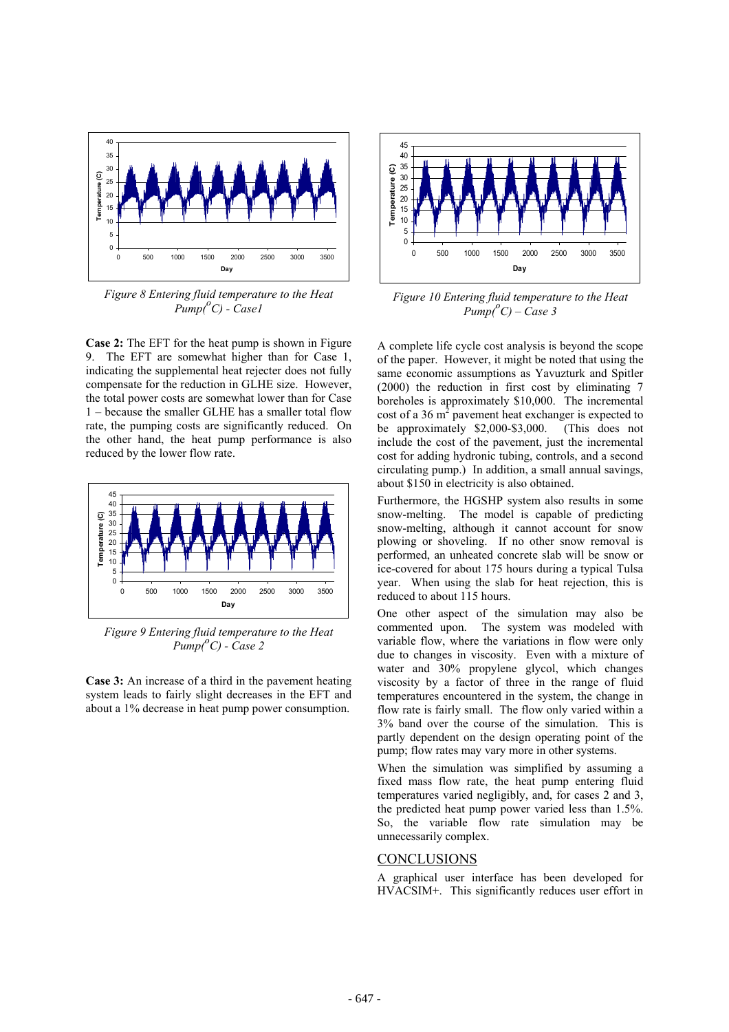

*Figure 8 Entering fluid temperature to the Heat Pump(o C) - Case1*

**Case 2:** The EFT for the heat pump is shown in Figure 9. The EFT are somewhat higher than for Case 1, indicating the supplemental heat rejecter does not fully compensate for the reduction in GLHE size. However, the total power costs are somewhat lower than for Case 1 – because the smaller GLHE has a smaller total flow rate, the pumping costs are significantly reduced. On the other hand, the heat pump performance is also reduced by the lower flow rate.



*Figure 9 Entering fluid temperature to the Heat Pump(o C) - Case 2*

**Case 3:** An increase of a third in the pavement heating system leads to fairly slight decreases in the EFT and about a 1% decrease in heat pump power consumption.



*Figure 10 Entering fluid temperature to the Heat*  $Pump(^{\circ}C) - Case 3$ 

A complete life cycle cost analysis is beyond the scope of the paper. However, it might be noted that using the same economic assumptions as Yavuzturk and Spitler (2000) the reduction in first cost by eliminating 7 boreholes is approximately \$10,000. The incremental cost of a 36  $m^2$  pavement heat exchanger is expected to be approximately \$2,000-\$3,000. (This does not include the cost of the pavement, just the incremental cost for adding hydronic tubing, controls, and a second circulating pump.) In addition, a small annual savings, about \$150 in electricity is also obtained.

Furthermore, the HGSHP system also results in some snow-melting. The model is capable of predicting snow-melting, although it cannot account for snow plowing or shoveling. If no other snow removal is performed, an unheated concrete slab will be snow or ice-covered for about 175 hours during a typical Tulsa year. When using the slab for heat rejection, this is reduced to about 115 hours.

One other aspect of the simulation may also be commented upon. The system was modeled with variable flow, where the variations in flow were only due to changes in viscosity. Even with a mixture of water and 30% propylene glycol, which changes viscosity by a factor of three in the range of fluid temperatures encountered in the system, the change in flow rate is fairly small. The flow only varied within a 3% band over the course of the simulation. This is partly dependent on the design operating point of the pump; flow rates may vary more in other systems.

When the simulation was simplified by assuming a fixed mass flow rate, the heat pump entering fluid temperatures varied negligibly, and, for cases 2 and 3, the predicted heat pump power varied less than 1.5%. So, the variable flow rate simulation may be unnecessarily complex.

#### **CONCLUSIONS**

A graphical user interface has been developed for HVACSIM+. This significantly reduces user effort in